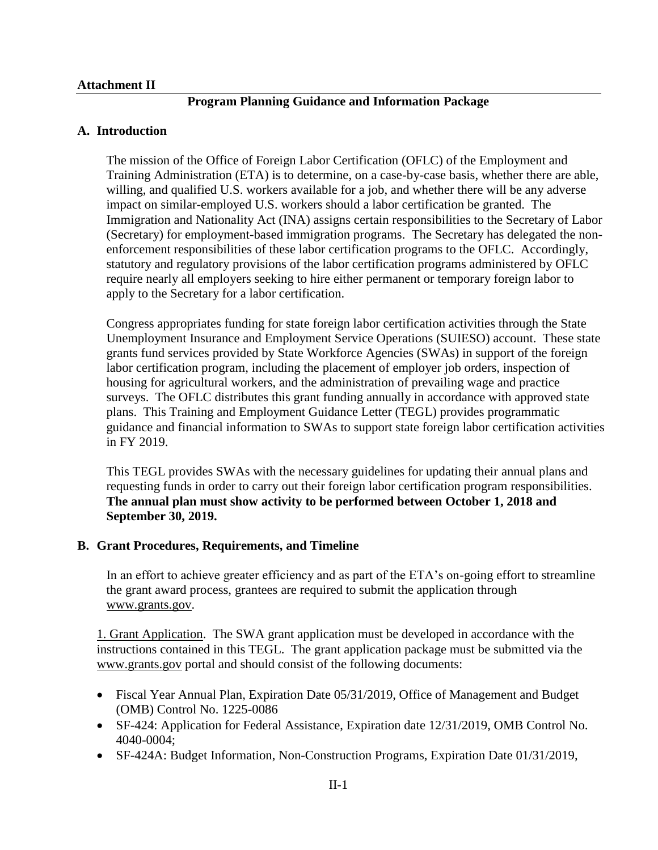#### **Attachment II**

# **Program Planning Guidance and Information Package**

### **A. Introduction**

The mission of the Office of Foreign Labor Certification (OFLC) of the Employment and Training Administration (ETA) is to determine, on a case-by-case basis, whether there are able, willing, and qualified U.S. workers available for a job, and whether there will be any adverse impact on similar-employed U.S. workers should a labor certification be granted. The Immigration and Nationality Act (INA) assigns certain responsibilities to the Secretary of Labor (Secretary) for employment-based immigration programs. The Secretary has delegated the nonenforcement responsibilities of these labor certification programs to the OFLC. Accordingly, statutory and regulatory provisions of the labor certification programs administered by OFLC require nearly all employers seeking to hire either permanent or temporary foreign labor to apply to the Secretary for a labor certification.

Congress appropriates funding for state foreign labor certification activities through the State Unemployment Insurance and Employment Service Operations (SUIESO) account. These state grants fund services provided by State Workforce Agencies (SWAs) in support of the foreign labor certification program, including the placement of employer job orders, inspection of housing for agricultural workers, and the administration of prevailing wage and practice surveys. The OFLC distributes this grant funding annually in accordance with approved state plans. This Training and Employment Guidance Letter (TEGL) provides programmatic guidance and financial information to SWAs to support state foreign labor certification activities in FY 2019.

This TEGL provides SWAs with the necessary guidelines for updating their annual plans and requesting funds in order to carry out their foreign labor certification program responsibilities. **The annual plan must show activity to be performed between October 1, 2018 and September 30, 2019.**

### **B. Grant Procedures, Requirements, and Timeline**

In an effort to achieve greater efficiency and as part of the ETA's on-going effort to streamline the grant award process, grantees are required to submit the application through [www.grants.gov.](https://www.grants.gov/)

1. Grant Application. The SWA grant application must be developed in accordance with the instructions contained in this TEGL. The grant application package must be submitted via the [www.grants.gov](http://www.grants.gov/) portal and should consist of the following documents:

- Fiscal Year Annual Plan, Expiration Date 05/31/2019, Office of Management and Budget (OMB) Control No. 1225-0086
- SF-424: Application for Federal Assistance, Expiration date 12/31/2019, OMB Control No. 4040-0004;
- SF-424A: Budget Information, Non-Construction Programs, Expiration Date 01/31/2019,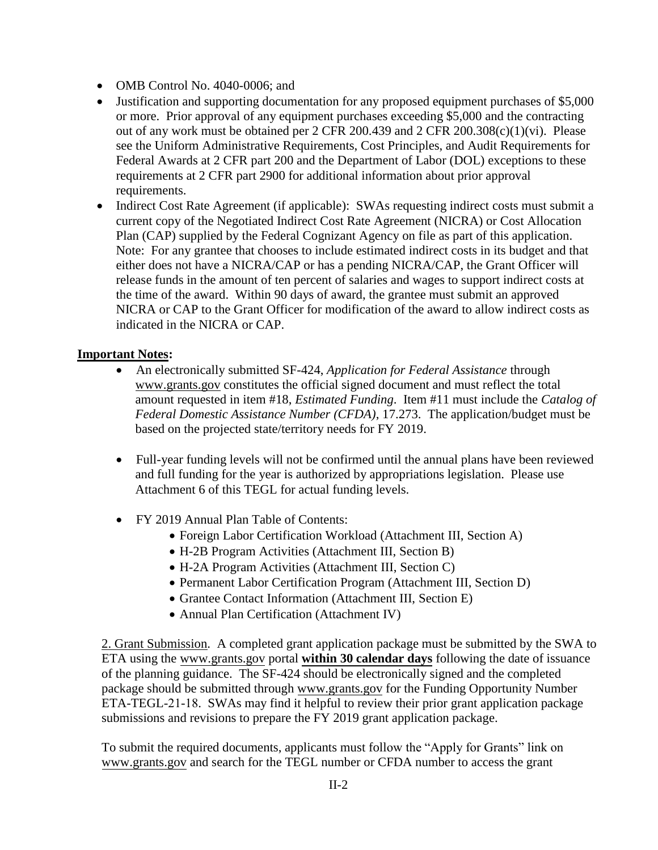- OMB Control No. 4040-0006; and
- Justification and supporting documentation for any proposed equipment purchases of \$5,000 or more. Prior approval of any equipment purchases exceeding \$5,000 and the contracting out of any work must be obtained per 2 CFR 200.439 and 2 CFR 200.308(c)(1)(vi). Please see the Uniform Administrative Requirements, Cost Principles, and Audit Requirements for Federal Awards at 2 CFR part 200 and the Department of Labor (DOL) exceptions to these requirements at 2 CFR part 2900 for additional information about prior approval requirements.
- Indirect Cost Rate Agreement (if applicable): SWAs requesting indirect costs must submit a current copy of the Negotiated Indirect Cost Rate Agreement (NICRA) or Cost Allocation Plan (CAP) supplied by the Federal Cognizant Agency on file as part of this application. Note: For any grantee that chooses to include estimated indirect costs in its budget and that either does not have a NICRA/CAP or has a pending NICRA/CAP, the Grant Officer will release funds in the amount of ten percent of salaries and wages to support indirect costs at the time of the award. Within 90 days of award, the grantee must submit an approved NICRA or CAP to the Grant Officer for modification of the award to allow indirect costs as indicated in the NICRA or CAP.

### **Important Notes:**

- An electronically submitted SF-424, *Application for Federal Assistance* through www.grants.gov constitutes the official signed document and must reflect the total amount requested in item #18, *Estimated Funding*. Item #11 must include the *Catalog of Federal Domestic Assistance Number (CFDA)*, 17.273. The application/budget must be based on the projected state/territory needs for FY 2019.
- Full-year funding levels will not be confirmed until the annual plans have been reviewed and full funding for the year is authorized by appropriations legislation. Please use Attachment 6 of this TEGL for actual funding levels.
- FY 2019 Annual Plan Table of Contents:
	- Foreign Labor Certification Workload (Attachment III, Section A)
	- H-2B Program Activities (Attachment III, Section B)
	- H-2A Program Activities (Attachment III, Section C)
	- Permanent Labor Certification Program (Attachment III, Section D)
	- Grantee Contact Information (Attachment III, Section E)
	- Annual Plan Certification (Attachment IV)

2. Grant Submission. A completed grant application package must be submitted by the SWA to ETA using th[e www.grants.gov](http://www.grants.gov/) portal **within 30 calendar days** following the date of issuance of the planning guidance. The SF-424 should be electronically signed and the completed package should be submitted through [www.grants.gov](http://www.grants.gov/) for the Funding Opportunity Number ETA-TEGL-21-18. SWAs may find it helpful to review their prior grant application package submissions and revisions to prepare the FY 2019 grant application package.

To submit the required documents, applicants must follow the "Apply for Grants" link on www.grants.gov and search for the TEGL number or CFDA number to access the grant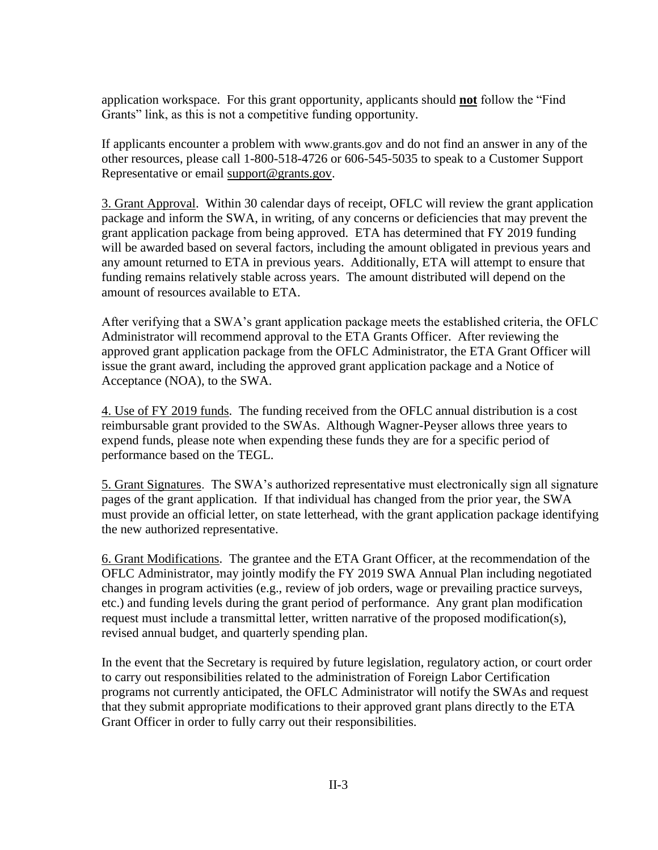application workspace. For this grant opportunity, applicants should **not** follow the "Find Grants" link, as this is not a competitive funding opportunity.

If applicants encounter a problem with www.grants.gov and do not find an answer in any of the other resources, please call 1-800-518-4726 or 606-545-5035 to speak to a Customer Support Representative or email [support@grants.gov.](mailto:support@grants.gov)

3. Grant Approval. Within 30 calendar days of receipt, OFLC will review the grant application package and inform the SWA, in writing, of any concerns or deficiencies that may prevent the grant application package from being approved. ETA has determined that FY 2019 funding will be awarded based on several factors, including the amount obligated in previous years and any amount returned to ETA in previous years. Additionally, ETA will attempt to ensure that funding remains relatively stable across years. The amount distributed will depend on the amount of resources available to ETA.

After verifying that a SWA's grant application package meets the established criteria, the OFLC Administrator will recommend approval to the ETA Grants Officer. After reviewing the approved grant application package from the OFLC Administrator, the ETA Grant Officer will issue the grant award, including the approved grant application package and a Notice of Acceptance (NOA), to the SWA.

4. Use of FY 2019 funds. The funding received from the OFLC annual distribution is a cost reimbursable grant provided to the SWAs. Although Wagner-Peyser allows three years to expend funds, please note when expending these funds they are for a specific period of performance based on the TEGL.

5. Grant Signatures. The SWA's authorized representative must electronically sign all signature pages of the grant application. If that individual has changed from the prior year, the SWA must provide an official letter, on state letterhead, with the grant application package identifying the new authorized representative.

6. Grant Modifications. The grantee and the ETA Grant Officer, at the recommendation of the OFLC Administrator, may jointly modify the FY 2019 SWA Annual Plan including negotiated changes in program activities (e.g., review of job orders, wage or prevailing practice surveys, etc.) and funding levels during the grant period of performance. Any grant plan modification request must include a transmittal letter, written narrative of the proposed modification(s), revised annual budget, and quarterly spending plan.

In the event that the Secretary is required by future legislation, regulatory action, or court order to carry out responsibilities related to the administration of Foreign Labor Certification programs not currently anticipated, the OFLC Administrator will notify the SWAs and request that they submit appropriate modifications to their approved grant plans directly to the ETA Grant Officer in order to fully carry out their responsibilities.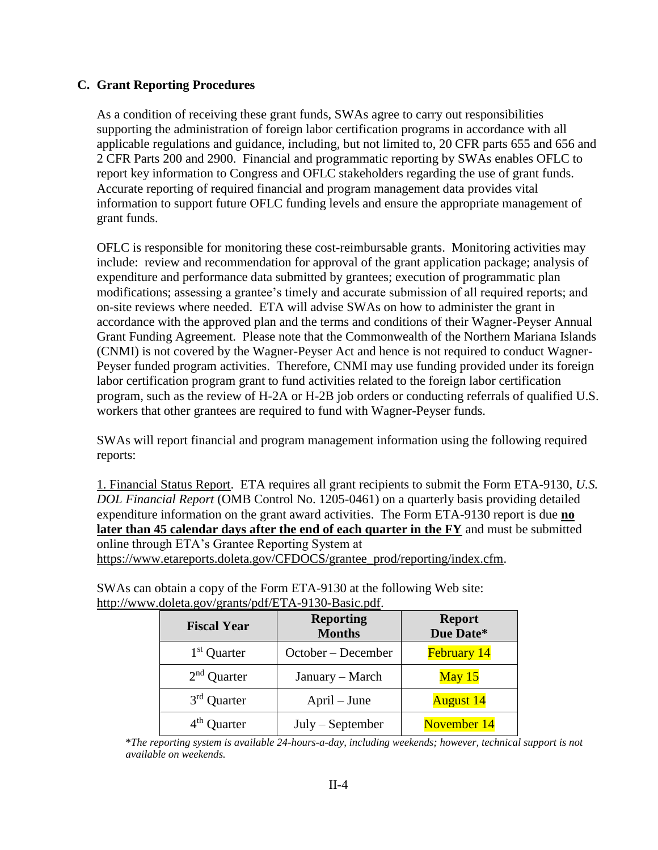## **C. Grant Reporting Procedures**

As a condition of receiving these grant funds, SWAs agree to carry out responsibilities supporting the administration of foreign labor certification programs in accordance with all applicable regulations and guidance, including, but not limited to, 20 CFR parts 655 and 656 and 2 CFR Parts 200 and 2900. Financial and programmatic reporting by SWAs enables OFLC to report key information to Congress and OFLC stakeholders regarding the use of grant funds. Accurate reporting of required financial and program management data provides vital information to support future OFLC funding levels and ensure the appropriate management of grant funds.

OFLC is responsible for monitoring these cost-reimbursable grants. Monitoring activities may include: review and recommendation for approval of the grant application package; analysis of expenditure and performance data submitted by grantees; execution of programmatic plan modifications; assessing a grantee's timely and accurate submission of all required reports; and on-site reviews where needed. ETA will advise SWAs on how to administer the grant in accordance with the approved plan and the terms and conditions of their Wagner-Peyser Annual Grant Funding Agreement. Please note that the Commonwealth of the Northern Mariana Islands (CNMI) is not covered by the Wagner-Peyser Act and hence is not required to conduct Wagner-Peyser funded program activities. Therefore, CNMI may use funding provided under its foreign labor certification program grant to fund activities related to the foreign labor certification program, such as the review of H-2A or H-2B job orders or conducting referrals of qualified U.S. workers that other grantees are required to fund with Wagner-Peyser funds.

SWAs will report financial and program management information using the following required reports:

1. Financial Status Report. ETA requires all grant recipients to submit the Form ETA-9130, *U.S. DOL Financial Report* (OMB Control No. 1205-0461) on a quarterly basis providing detailed expenditure information on the grant award activities. The Form ETA-9130 report is due **no later than 45 calendar days after the end of each quarter in the FY** and must be submitted online through ETA's Grantee Reporting System at

[https://www.etareports.doleta.gov/CFDOCS/grantee\\_prod/reporting/index.cfm.](https://www.etareports.doleta.gov/CFDOCS/grantee_prod/reporting/index.cfm)

| <b>Fiscal Year</b> | <b>Reporting</b><br><b>Months</b> | <b>Report</b><br>Due Date* |
|--------------------|-----------------------------------|----------------------------|
| $1st$ Quarter      | October – December                | February 14                |
| $2nd$ Quarter      | January – March                   | May $15$                   |
| $3rd$ Quarter      | $April - June$                    | <b>August 14</b>           |
| $4th$ Quarter      | $July - September$                | November 14                |

SWAs can obtain a copy of the Form ETA-9130 at the following Web site: http://www.doleta.gov/grants/pdf/ETA-9130-Basic.pdf

<sup>\*</sup>*The reporting system is available 24-hours-a-day, including weekends; however, technical support is not available on weekends.*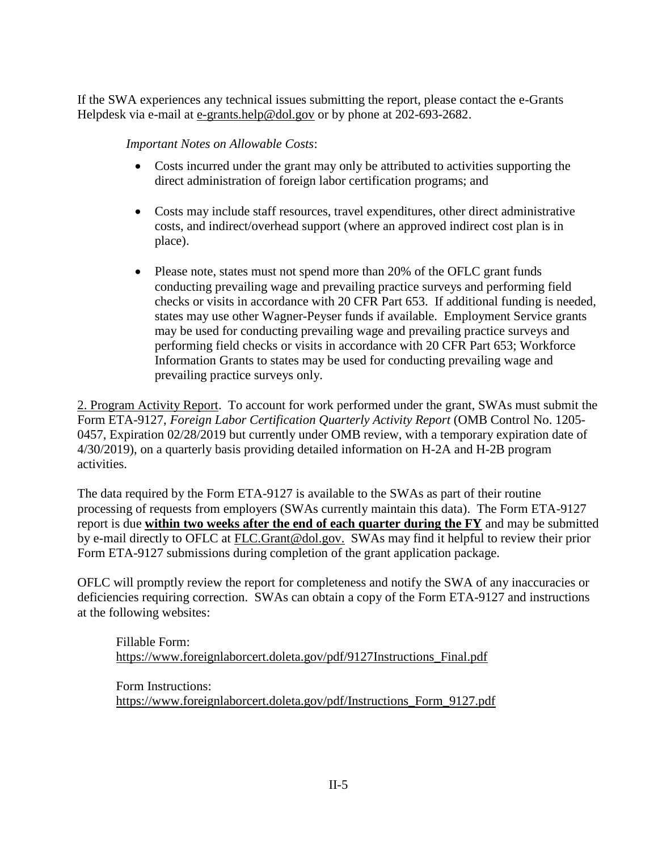If the SWA experiences any technical issues submitting the report, please contact the e-Grants Helpdesk via e-mail at [e-grants.help@dol.gov](mailto:e-grants.help@dol.gov) or by phone at 202-693-2682.

*Important Notes on Allowable Costs*:

- Costs incurred under the grant may only be attributed to activities supporting the direct administration of foreign labor certification programs; and
- Costs may include staff resources, travel expenditures, other direct administrative costs, and indirect/overhead support (where an approved indirect cost plan is in place).
- Please note, states must not spend more than 20% of the OFLC grant funds conducting prevailing wage and prevailing practice surveys and performing field checks or visits in accordance with 20 CFR Part 653. If additional funding is needed, states may use other Wagner-Peyser funds if available. Employment Service grants may be used for conducting prevailing wage and prevailing practice surveys and performing field checks or visits in accordance with 20 CFR Part 653; Workforce Information Grants to states may be used for conducting prevailing wage and prevailing practice surveys only.

2. Program Activity Report. To account for work performed under the grant, SWAs must submit the Form ETA-9127, *Foreign Labor Certification Quarterly Activity Report* (OMB Control No. 1205- 0457, Expiration 02/28/2019 but currently under OMB review, with a temporary expiration date of 4/30/2019), on a quarterly basis providing detailed information on H-2A and H-2B program activities.

The data required by the Form ETA-9127 is available to the SWAs as part of their routine processing of requests from employers (SWAs currently maintain this data). The Form ETA-9127 report is due **within two weeks after the end of each quarter during the FY** and may be submitted by e-mail directly to OFLC at [FLC.Grant@dol.gov.](mailto:FLC.Grant@dol.gov) SWAs may find it helpful to review their prior Form ETA-9127 submissions during completion of the grant application package.

OFLC will promptly review the report for completeness and notify the SWA of any inaccuracies or deficiencies requiring correction. SWAs can obtain a copy of the Form ETA-9127 and instructions at the following websites:

Fillable Form: [https://www.foreignlaborcert.doleta.gov/pdf/9127Instructions\\_Final.pdf](https://www.foreignlaborcert.doleta.gov/pdf/9127Instructions_Final.pdf)

Form Instructions: [https://www.foreignlaborcert.doleta.gov/pdf/Instructions\\_Form\\_9127.pdf](https://www.foreignlaborcert.doleta.gov/pdf/Instructions_Form_9127.pdf)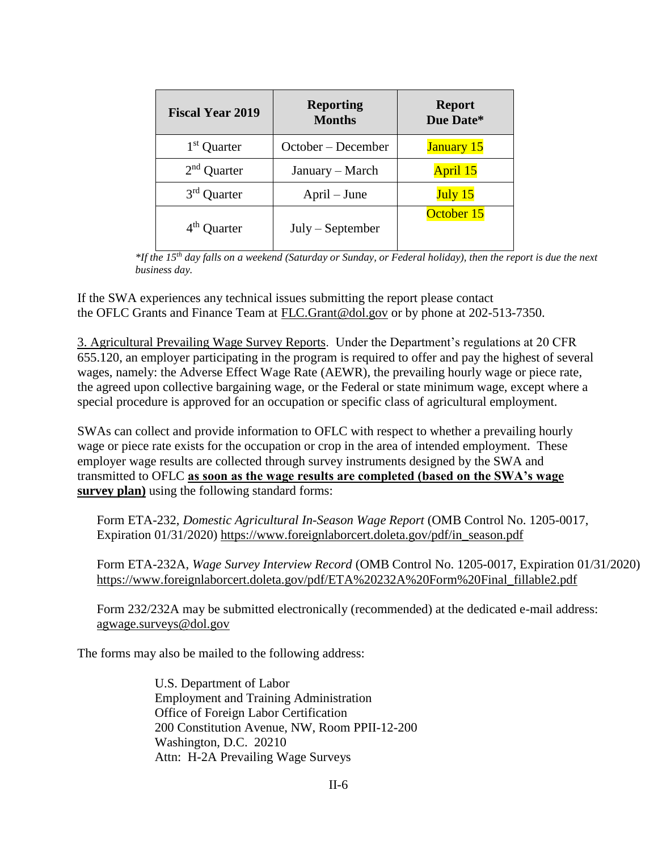| <b>Fiscal Year 2019</b> | <b>Reporting</b><br><b>Months</b> | <b>Report</b><br>Due Date* |
|-------------------------|-----------------------------------|----------------------------|
| 1 <sup>st</sup> Quarter | October – December                | <b>January 15</b>          |
| $2nd$ Quarter           | January – March                   | April 15                   |
| $3rd$ Quarter           | $April - June$                    | July 15                    |
| 4 <sup>th</sup> Quarter | $July - September$                | October 15                 |

*\*If the 15th day falls on a weekend (Saturday or Sunday, or Federal holiday), then the report is due the next business day.*

If the SWA experiences any technical issues submitting the report please contact the OFLC Grants and Finance Team at [FLC.Grant@dol.gov](mailto:FLC.Grant@dol.gov) or by phone at 202-513-7350.

3. Agricultural Prevailing Wage Survey Reports. Under the Department's regulations at 20 CFR 655.120, an employer participating in the program is required to offer and pay the highest of several wages, namely: the Adverse Effect Wage Rate (AEWR), the prevailing hourly wage or piece rate, the agreed upon collective bargaining wage, or the Federal or state minimum wage, except where a special procedure is approved for an occupation or specific class of agricultural employment.

SWAs can collect and provide information to OFLC with respect to whether a prevailing hourly wage or piece rate exists for the occupation or crop in the area of intended employment. These employer wage results are collected through survey instruments designed by the SWA and transmitted to OFLC **as soon as the wage results are completed (based on the SWA's wage survey plan)** using the following standard forms:

Form ETA-232, *Domestic Agricultural In-Season Wage Report* (OMB Control No. 1205-0017, Expiration 01/31/2020) [https://www.foreignlaborcert.doleta.gov/pdf/in\\_season.pdf](https://www.foreignlaborcert.doleta.gov/pdf/in_season.pdf)

Form ETA-232A, *Wage Survey Interview Record* (OMB Control No. 1205-0017, Expiration 01/31/2020) [https://www.foreignlaborcert.doleta.gov/pdf/ETA%20232A%20Form%20Final\\_fillable2.pdf](https://www.foreignlaborcert.doleta.gov/pdf/ETA%20232A%20Form%20Final_fillable2.pdf)

Form 232/232A may be submitted electronically (recommended) at the dedicated e-mail address: [agwage.surveys@dol.gov](mailto:agwage.surveys@dol.gov)

The forms may also be mailed to the following address:

U.S. Department of Labor Employment and Training Administration Office of Foreign Labor Certification 200 Constitution Avenue, NW, Room PPII-12-200 Washington, D.C. 20210 Attn: H-2A Prevailing Wage Surveys